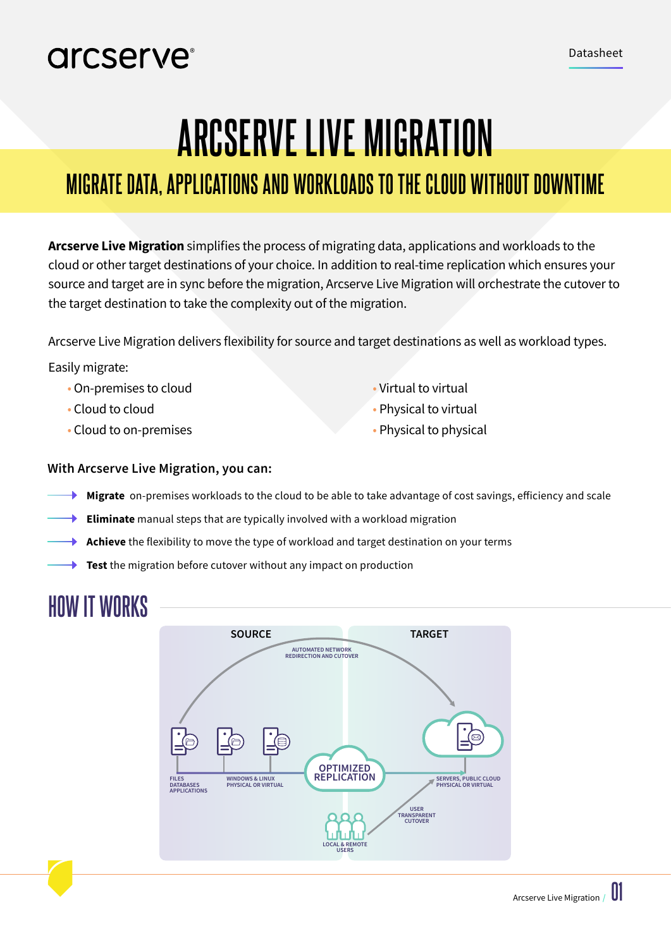# arcserve<sup>®</sup>

# **ARCSERVE LIVE MIGRATION**

# **MIGRATE DATA, APPLICATIONS AND WORKLOADS TO THE CLOUD WITHOUT DOWNTIME**

**Arcserve Live Migration** simplifies the process of migrating data, applications and workloads to the cloud or other target destinations of your choice. In addition to real-time replication which ensures your source and target are in sync before the migration, Arcserve Live Migration will orchestrate the cutover to the target destination to take the complexity out of the migration.

Arcserve Live Migration delivers flexibility for source and target destinations as well as workload types.

### Easily migrate:

- On-premises to cloud Virtual to virtual
- 
- Cloud to on-premises Physical to physical to physical
- 
- Cloud to cloud **Physical to virtual** 
	-

### **With Arcserve Live Migration, you can:**

- **Migrate** on-premises workloads to the cloud to be able to take advantage of cost savings, efficiency and scale
- **Eliminate** manual steps that are typically involved with a workload migration
- **Achieve** the flexibility to move the type of workload and target destination on your terms
- **Test** the migration before cutover without any impact on production

# **HOW IT WORKS**